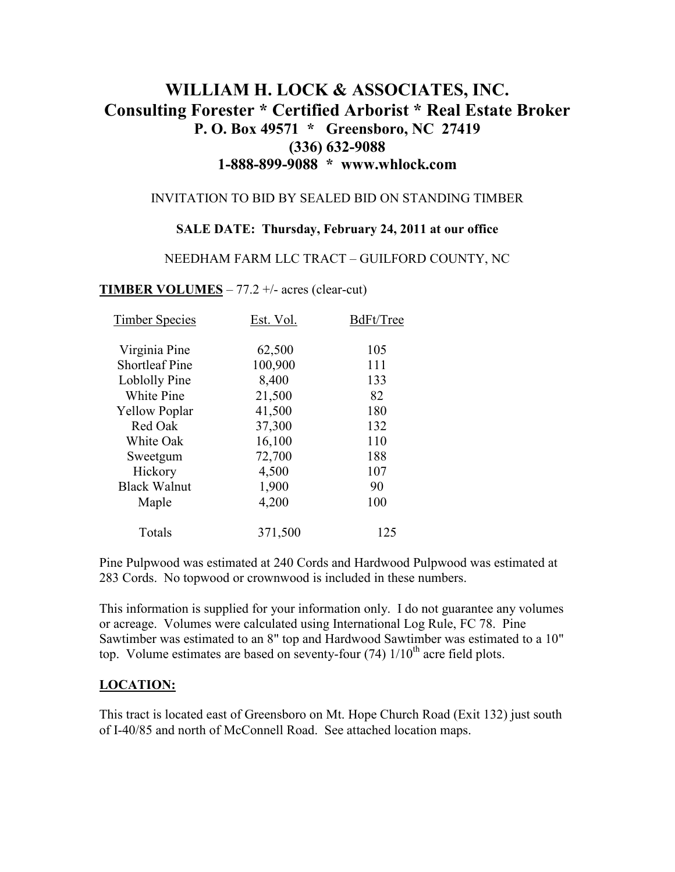# **WILLIAM H. LOCK & ASSOCIATES, INC. Consulting Forester \* Certified Arborist \* Real Estate Broker P. O. Box 49571 \* Greensboro, NC 27419 (336) 632-9088 1-888-899-9088 \* www.whlock.com**

#### INVITATION TO BID BY SEALED BID ON STANDING TIMBER

#### **SALE DATE: Thursday, February 24, 2011 at our office**

#### NEEDHAM FARM LLC TRACT – GUILFORD COUNTY, NC

#### **TIMBER VOLUMES** – 77.2 +/- acres (clear-cut)

| <b>Timber Species</b> | Est. Vol. | BdFt/Tree |
|-----------------------|-----------|-----------|
| Virginia Pine         | 62,500    | 105       |
| <b>Shortleaf Pine</b> | 100,900   | 111       |
| Loblolly Pine         | 8,400     | 133       |
| White Pine            | 21,500    | 82        |
| <b>Yellow Poplar</b>  | 41,500    | 180       |
| Red Oak               | 37,300    | 132       |
| White Oak             | 16,100    | 110       |
| Sweetgum              | 72,700    | 188       |
| Hickory               | 4,500     | 107       |
| <b>Black Walnut</b>   | 1,900     | 90        |
| Maple                 | 4,200     | 100       |
| Totals                | 371,500   | 125       |

Pine Pulpwood was estimated at 240 Cords and Hardwood Pulpwood was estimated at 283 Cords. No topwood or crownwood is included in these numbers.

This information is supplied for your information only. I do not guarantee any volumes or acreage. Volumes were calculated using International Log Rule, FC 78. Pine Sawtimber was estimated to an 8" top and Hardwood Sawtimber was estimated to a 10" top. Volume estimates are based on seventy-four  $(74)$  1/10<sup>th</sup> acre field plots.

### **LOCATION:**

This tract is located east of Greensboro on Mt. Hope Church Road (Exit 132) just south of I-40/85 and north of McConnell Road. See attached location maps.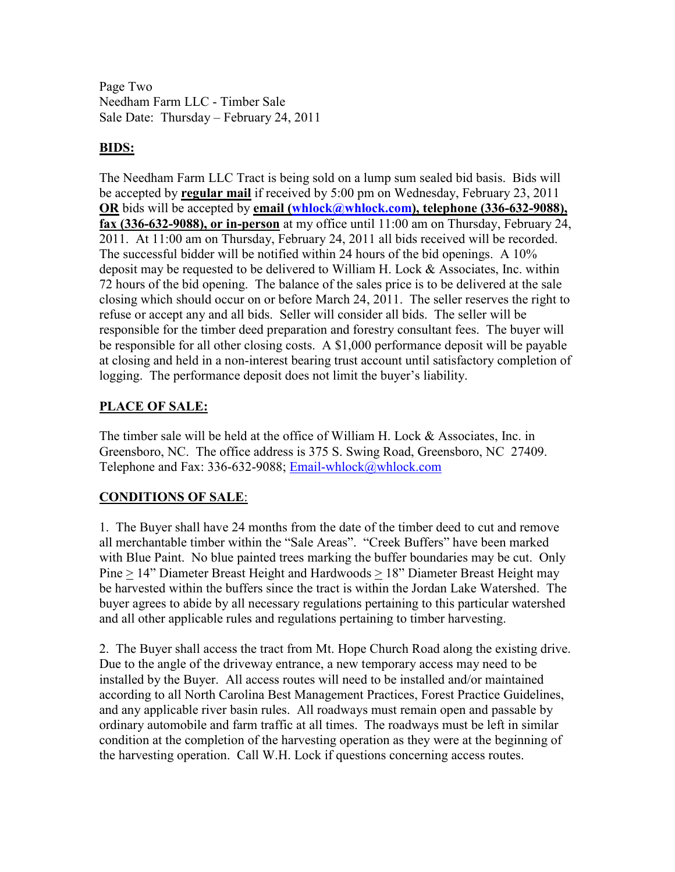Page Two Needham Farm LLC - Timber Sale Sale Date: Thursday – February 24, 2011

### **BIDS:**

The Needham Farm LLC Tract is being sold on a lump sum sealed bid basis. Bids will be accepted by **regular mail** if received by 5:00 pm on Wednesday, February 23, 2011 **OR** bids will be accepted by **email** (whlock@whlock.com), telephone (336-632-9088), **fax (336-632-9088), or in-person** at my office until 11:00 am on Thursday, February 24, 2011. At 11:00 am on Thursday, February 24, 2011 all bids received will be recorded. The successful bidder will be notified within 24 hours of the bid openings. A 10% deposit may be requested to be delivered to William H. Lock & Associates, Inc. within 72 hours of the bid opening. The balance of the sales price is to be delivered at the sale closing which should occur on or before March 24, 2011. The seller reserves the right to refuse or accept any and all bids. Seller will consider all bids. The seller will be responsible for the timber deed preparation and forestry consultant fees. The buyer will be responsible for all other closing costs. A \$1,000 performance deposit will be payable at closing and held in a non-interest bearing trust account until satisfactory completion of logging. The performance deposit does not limit the buyer's liability.

### **PLACE OF SALE:**

The timber sale will be held at the office of William H. Lock & Associates, Inc. in Greensboro, NC. The office address is 375 S. Swing Road, Greensboro, NC 27409. Telephone and Fax: 336-632-9088; Email-whlock@whlock.com

## **CONDITIONS OF SALE**:

1. The Buyer shall have 24 months from the date of the timber deed to cut and remove all merchantable timber within the "Sale Areas". "Creek Buffers" have been marked with Blue Paint. No blue painted trees marking the buffer boundaries may be cut. Only Pine > 14" Diameter Breast Height and Hardwoods > 18" Diameter Breast Height may be harvested within the buffers since the tract is within the Jordan Lake Watershed. The buyer agrees to abide by all necessary regulations pertaining to this particular watershed and all other applicable rules and regulations pertaining to timber harvesting.

2. The Buyer shall access the tract from Mt. Hope Church Road along the existing drive. Due to the angle of the driveway entrance, a new temporary access may need to be installed by the Buyer. All access routes will need to be installed and/or maintained according to all North Carolina Best Management Practices, Forest Practice Guidelines, and any applicable river basin rules. All roadways must remain open and passable by ordinary automobile and farm traffic at all times. The roadways must be left in similar condition at the completion of the harvesting operation as they were at the beginning of the harvesting operation. Call W.H. Lock if questions concerning access routes.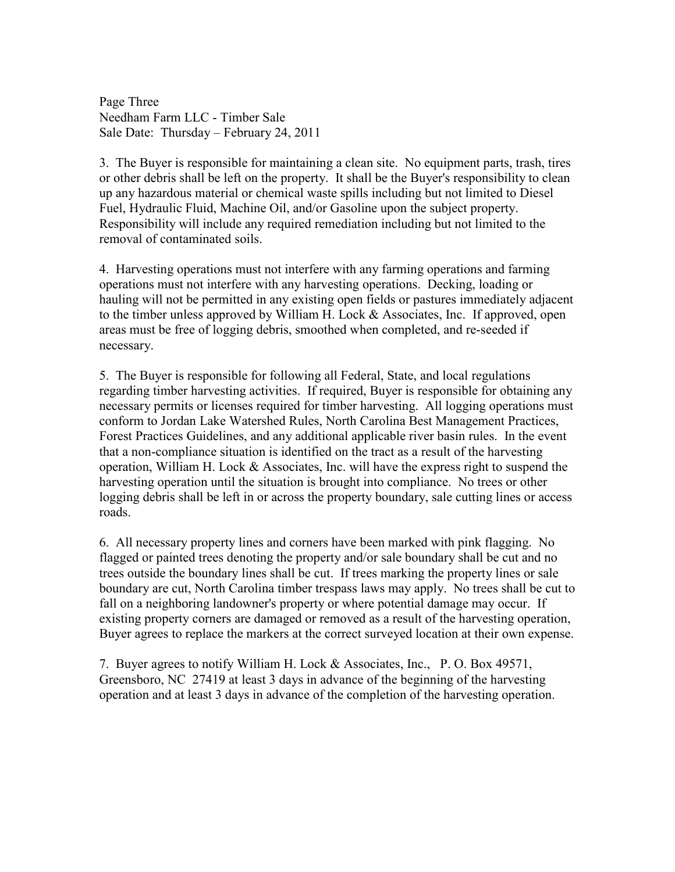Page Three Needham Farm LLC - Timber Sale Sale Date: Thursday – February 24, 2011

3. The Buyer is responsible for maintaining a clean site. No equipment parts, trash, tires or other debris shall be left on the property. It shall be the Buyer's responsibility to clean up any hazardous material or chemical waste spills including but not limited to Diesel Fuel, Hydraulic Fluid, Machine Oil, and/or Gasoline upon the subject property. Responsibility will include any required remediation including but not limited to the removal of contaminated soils.

4. Harvesting operations must not interfere with any farming operations and farming operations must not interfere with any harvesting operations. Decking, loading or hauling will not be permitted in any existing open fields or pastures immediately adjacent to the timber unless approved by William H. Lock & Associates, Inc. If approved, open areas must be free of logging debris, smoothed when completed, and re-seeded if necessary.

5. The Buyer is responsible for following all Federal, State, and local regulations regarding timber harvesting activities. If required, Buyer is responsible for obtaining any necessary permits or licenses required for timber harvesting. All logging operations must conform to Jordan Lake Watershed Rules, North Carolina Best Management Practices, Forest Practices Guidelines, and any additional applicable river basin rules. In the event that a non-compliance situation is identified on the tract as a result of the harvesting operation, William H. Lock & Associates, Inc. will have the express right to suspend the harvesting operation until the situation is brought into compliance. No trees or other logging debris shall be left in or across the property boundary, sale cutting lines or access roads.

6. All necessary property lines and corners have been marked with pink flagging. No flagged or painted trees denoting the property and/or sale boundary shall be cut and no trees outside the boundary lines shall be cut. If trees marking the property lines or sale boundary are cut, North Carolina timber trespass laws may apply. No trees shall be cut to fall on a neighboring landowner's property or where potential damage may occur. If existing property corners are damaged or removed as a result of the harvesting operation, Buyer agrees to replace the markers at the correct surveyed location at their own expense.

7. Buyer agrees to notify William H. Lock & Associates, Inc., P. O. Box 49571, Greensboro, NC 27419 at least 3 days in advance of the beginning of the harvesting operation and at least 3 days in advance of the completion of the harvesting operation.